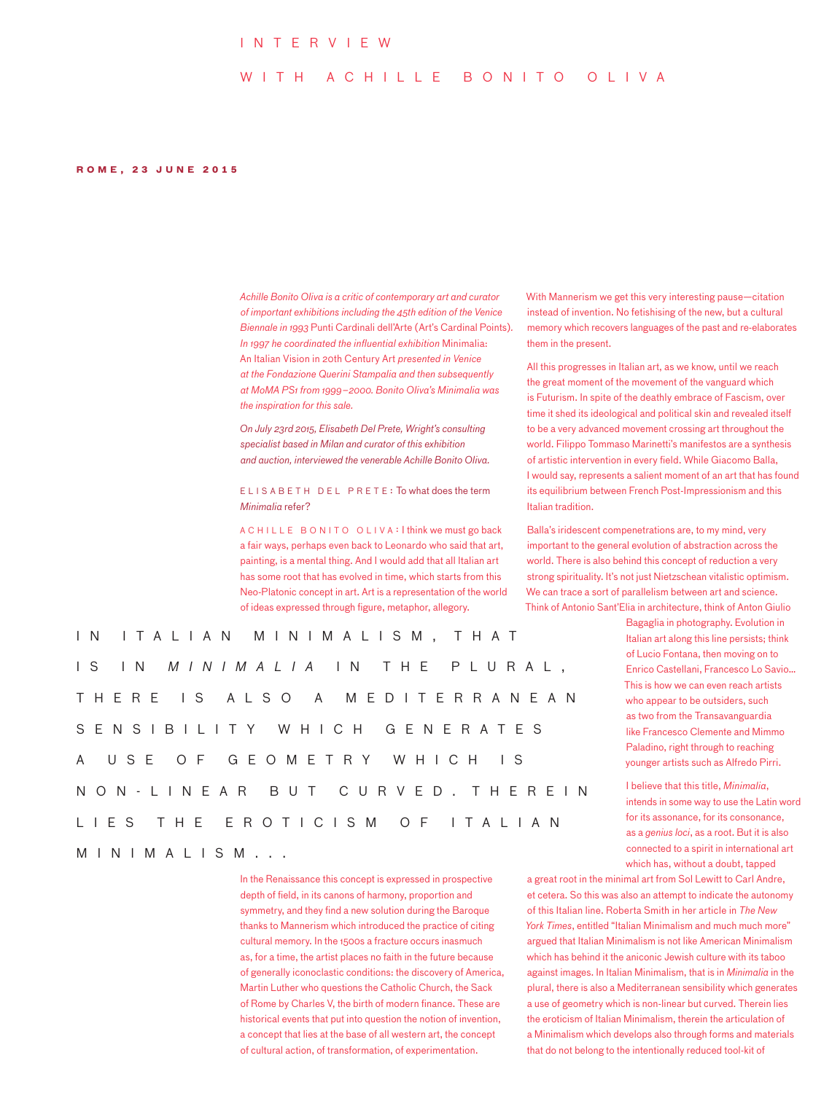### I n t e rvi ew

## W I T H A C H I L L E B O N I T O O L I V A

#### **Rome, 2 3 J u N E 2 0 1 5**

*Achille Bonito Oliva is a critic of contemporary art and curator of important exhibitions including the 45th edition of the Venice Biennale in 1993* Punti Cardinali dell'Arte (Art's Cardinal Points)*. In 1997 he coordinated the influential exhibition* Minimalia: An Italian Vision in 20th Century Art *presented in Venice at the Fondazione Querini Stampalia and then subsequently at MoMA PS1 from 1999–2000. Bonito Oliva's Minimalia was the inspiration for this sale.*

*On July 23rd 2015, Elisabeth Del Prete, Wright's consulting specialist based in Milan and curator of this exhibition and auction, interviewed the venerable Achille Bonito Oliva.* 

#### ELISABETH DEL PRETE: To what does the term *Minimalia* refer?

A CHILLE B ONITO OLIVA : I think we must go back a fair ways, perhaps even back to Leonardo who said that art, painting, is a mental thing. And I would add that all Italian art has some root that has evolved in time, which starts from this Neo-Platonic concept in art. Art is a representation of the world of ideas expressed through figure, metaphor, allegory.

I n I talian m ini m alis m , t h a t is in *M i n i m alia* in th e p l u r a l , THERE IS ALSO A MEDITERRANEAN s e nsibility w hich ge n e rat e s A USE OF GEOMETRY WHICH IS non - lin e ar but curv ed . T h e r e i n LIES THE EROTICISM OF ITALIAN m ini m alis m ...

> In the Renaissance this concept is expressed in prospective depth of field, in its canons of harmony, proportion and symmetry, and they find a new solution during the Baroque thanks to Mannerism which introduced the practice of citing cultural memory. In the 1500s a fracture occurs inasmuch as, for a time, the artist places no faith in the future because of generally iconoclastic conditions: the discovery of America, Martin Luther who questions the Catholic Church, the Sack of Rome by Charles V, the birth of modern finance. These are historical events that put into question the notion of invention, a concept that lies at the base of all western art, the concept of cultural action, of transformation, of experimentation.

With Mannerism we get this very interesting pause—citation instead of invention. No fetishising of the new, but a cultural memory which recovers languages of the past and re-elaborates them in the present.

All this progresses in Italian art, as we know, until we reach the great moment of the movement of the vanguard which is Futurism. In spite of the deathly embrace of Fascism, over time it shed its ideological and political skin and revealed itself to be a very advanced movement crossing art throughout the world. Filippo Tommaso Marinetti's manifestos are a synthesis of artistic intervention in every field. While Giacomo Balla, I would say, represents a salient moment of an art that has found its equilibrium between French Post-Impressionism and this Italian tradition.

Balla's iridescent compenetrations are, to my mind, very important to the general evolution of abstraction across the world. There is also behind this concept of reduction a very strong spirituality. It's not just Nietzschean vitalistic optimism. We can trace a sort of parallelism between art and science. Think of Antonio Sant'Elia in architecture, think of Anton Giulio

> Bagaglia in photography. Evolution in Italian art along this line persists; think of Lucio Fontana, then moving on to Enrico Castellani, Francesco Lo Savio… This is how we can even reach artists who appear to be outsiders, such as two from the Transavanguardia like Francesco Clemente and Mimmo Paladino, right through to reaching younger artists such as Alfredo Pirri.

I believe that this title, *Minimalia*, intends in some way to use the Latin word for its assonance, for its consonance, as a *genius loci*, as a root. But it is also connected to a spirit in international art which has, without a doubt, tapped

a great root in the minimal art from Sol Lewitt to Carl Andre, et cetera. So this was also an attempt to indicate the autonomy of this Italian line. Roberta Smith in her article in *The New York Times*, entitled "Italian Minimalism and much much more" argued that Italian Minimalism is not like American Minimalism which has behind it the aniconic Jewish culture with its taboo against images. In Italian Minimalism, that is in *Minimalia* in the plural, there is also a Mediterranean sensibility which generates a use of geometry which is non-linear but curved. Therein lies the eroticism of Italian Minimalism, therein the articulation of a Minimalism which develops also through forms and materials that do not belong to the intentionally reduced tool-kit of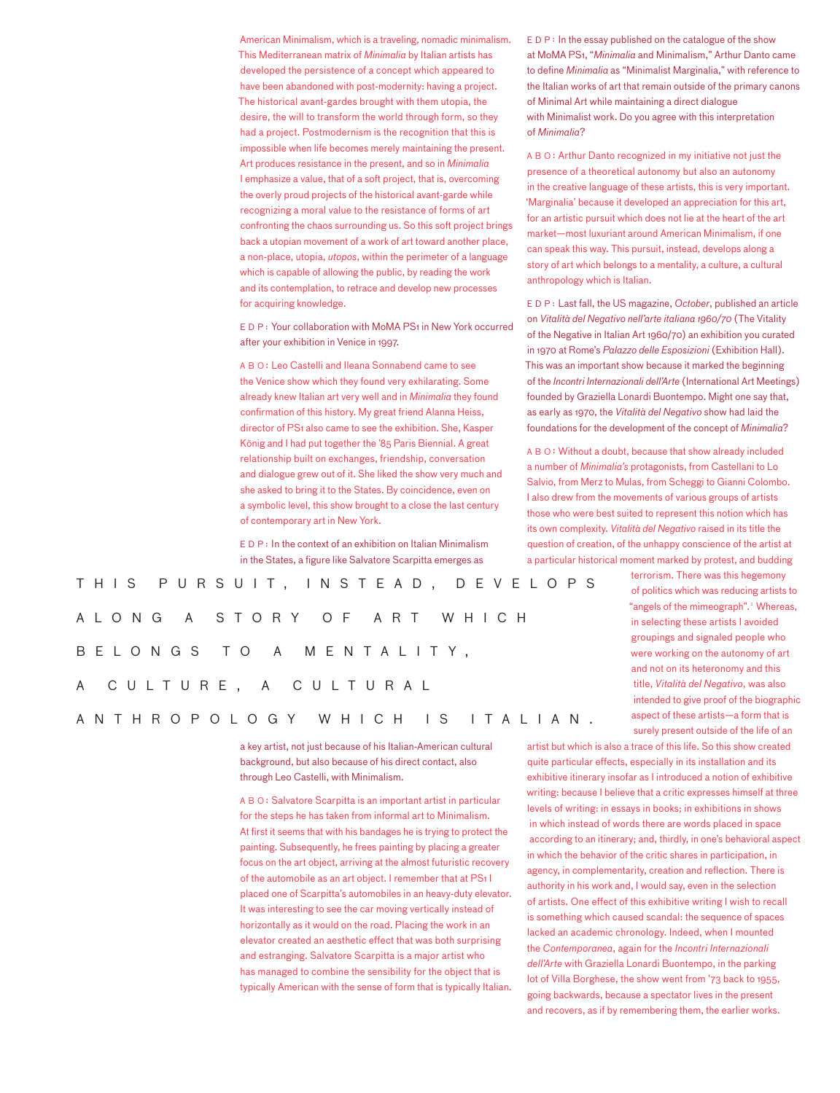American Minimalism, which is a traveling, nomadic minimalism. This Mediterranean matrix of *Minimalia* by Italian artists has developed the persistence of a concept which appeared to have been abandoned with post-modernity: having a project. The historical avant-gardes brought with them utopia, the desire, the will to transform the world through form, so they had a project. Postmodernism is the recognition that this is impossible when life becomes merely maintaining the present. Art produces resistance in the present, and so in *Minimalia* I emphasize a value, that of a soft project, that is, overcoming the overly proud projects of the historical avant-garde while recognizing a moral value to the resistance of forms of art confronting the chaos surrounding us. So this soft project brings back a utopian movement of a work of art toward another place, a non-place, utopia, *utopos*, within the perimeter of a language which is capable of allowing the public, by reading the work and its contemplation, to retrace and develop new processes for acquiring knowledge.

EDP : Your collaboration with MoMA PS1 in New York occurred after your exhibition in Venice in 1997.

ABO : Leo Castelli and Ileana Sonnabend came to see the Venice show which they found very exhilarating. Some already knew Italian art very well and in *Minimalia* they found confirmation of this history. My great friend Alanna Heiss, director of PS1 also came to see the exhibition. She, Kasper König and I had put together the '85 Paris Biennial. A great relationship built on exchanges, friendship, conversation and dialogue grew out of it. She liked the show very much and she asked to bring it to the States. By coincidence, even on a symbolic level, this show brought to a close the last century of contemporary art in New York.

EDP : In the context of an exhibition on Italian Minimalism in the States, a figure like Salvatore Scarpitta emerges as

T his p u r s u i t , i n s t e a d , de v e l o p s A L O N G A S T O R Y O F A R T W H I C H b e lon g s to a me n t a l i t y , A C U L T U R E , A C U L T U R A L

# anthro p olo g y w hich is I talian.

a key artist, not just because of his Italian-American cultural background, but also because of his direct contact, also through Leo Castelli, with Minimalism.

ABO : Salvatore Scarpitta is an important artist in particular for the steps he has taken from informal art to Minimalism. At first it seems that with his bandages he is trying to protect the painting. Subsequently, he frees painting by placing a greater focus on the art object, arriving at the almost futuristic recovery of the automobile as an art object. I remember that at PS1 I placed one of Scarpitta's automobiles in an heavy-duty elevator. It was interesting to see the car moving vertically instead of horizontally as it would on the road. Placing the work in an elevator created an aesthetic effect that was both surprising and estranging. Salvatore Scarpitta is a major artist who has managed to combine the sensibility for the object that is typically American with the sense of form that is typically Italian.

EDP: In the essay published on the catalogue of the show at MoMA PS1, "*Minimalia* and Minimalism," Arthur Danto came to define *Minimalia* as "Minimalist Marginalia," with reference to the Italian works of art that remain outside of the primary canons of Minimal Art while maintaining a direct dialogue with Minimalist work. Do you agree with this interpretation of *Minimalia*?

ABO : Arthur Danto recognized in my initiative not just the presence of a theoretical autonomy but also an autonomy in the creative language of these artists, this is very important. 'Marginalia' because it developed an appreciation for this art, for an artistic pursuit which does not lie at the heart of the art market—most luxuriant around American Minimalism, if one can speak this way. This pursuit, instead, develops along a story of art which belongs to a mentality, a culture, a cultural anthropology which is Italian.

EDP : Last fall, the US magazine, *October*, published an article on *Vitalità del Negativo nell'arte italiana 1960/70* (The Vitality of the Negative in Italian Art 1960/70) an exhibition you curated in 1970 at Rome's *Palazzo delle Esposizioni* (Exhibition Hall). This was an important show because it marked the beginning of the *Incontri Internazionali dell'Arte* (International Art Meetings) founded by Graziella Lonardi Buontempo. Might one say that, as early as 1970, the *Vitalità del Negativo* show had laid the foundations for the development of the concept of *Minimalia*?

ABO : Without a doubt, because that show already included a number of *Minimalia's* protagonists, from Castellani to Lo Salvio, from Merz to Mulas, from Scheggi to Gianni Colombo. I also drew from the movements of various groups of artists those who were best suited to represent this notion which has its own complexity. *Vitalità del Negativo* raised in its title the question of creation, of the unhappy conscience of the artist at a particular historical moment marked by protest, and budding

> terrorism. There was this hegemony of politics which was reducing artists to "angels of the mimeograph".<sup>1</sup> Whereas, in selecting these artists I avoided groupings and signaled people who were working on the autonomy of art and not on its heteronomy and this title, *Vitalità del Negativo*, was also intended to give proof of the biographic aspect of these artists—a form that is surely present outside of the life of an

artist but which is also a trace of this life. So this show created quite particular effects, especially in its installation and its exhibitive itinerary insofar as I introduced a notion of exhibitive writing: because I believe that a critic expresses himself at three levels of writing: in essays in books; in exhibitions in shows in which instead of words there are words placed in space according to an itinerary; and, thirdly, in one's behavioral aspect in which the behavior of the critic shares in participation, in agency, in complementarity, creation and reflection. There is authority in his work and, I would say, even in the selection of artists. One effect of this exhibitive writing I wish to recall is something which caused scandal: the sequence of spaces lacked an academic chronology. Indeed, when I mounted the *Contemporanea*, again for the *Incontri Internazionali dell'Arte* with Graziella Lonardi Buontempo, in the parking lot of Villa Borghese, the show went from '73 back to 1955, going backwards, because a spectator lives in the present and recovers, as if by remembering them, the earlier works.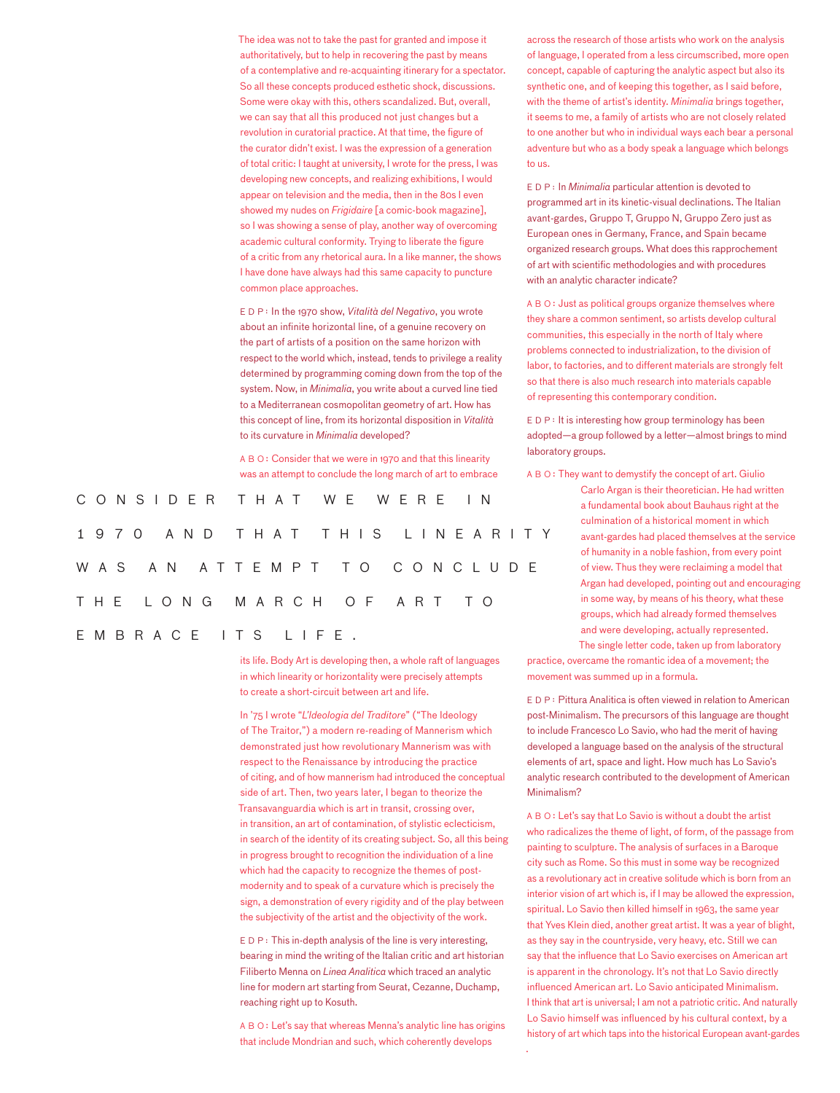The idea was not to take the past for granted and impose it authoritatively, but to help in recovering the past by means of a contemplative and re-acquainting itinerary for a spectator. So all these concepts produced esthetic shock, discussions. Some were okay with this, others scandalized. But, overall, we can say that all this produced not just changes but a revolution in curatorial practice. At that time, the figure of the curator didn't exist. I was the expression of a generation of total critic: I taught at university, I wrote for the press, I was developing new concepts, and realizing exhibitions, I would appear on television and the media, then in the 80s I even showed my nudes on *Frigidaire* [a comic-book magazine], so I was showing a sense of play, another way of overcoming academic cultural conformity. Trying to liberate the figure of a critic from any rhetorical aura. In a like manner, the shows I have done have always had this same capacity to puncture common place approaches.

EDP : In the 1970 show, *Vitalità del Negativo*, you wrote about an infinite horizontal line, of a genuine recovery on the part of artists of a position on the same horizon with respect to the world which, instead, tends to privilege a reality determined by programming coming down from the top of the system. Now, in *Minimalia*, you write about a curved line tied to a Mediterranean cosmopolitan geometry of art. How has this concept of line, from its horizontal disposition in *Vitalità* to its curvature in *Minimalia* developed?

ABO : Consider that we were in 1970 and that this linearity was an attempt to conclude the long march of art to embrace

|  | CONSIDER THAT WE WERE IN     |  |  |  |  |  |  |  |  |
|--|------------------------------|--|--|--|--|--|--|--|--|
|  | 1970 AND THAT THIS LINEARITY |  |  |  |  |  |  |  |  |
|  | WAS AN ATTEMPT TO CONCLUDE   |  |  |  |  |  |  |  |  |
|  | THE LONG MARCH OF ART TO     |  |  |  |  |  |  |  |  |
|  | EMBRACE ITS LIFE.            |  |  |  |  |  |  |  |  |

its life. Body Art is developing then, a whole raft of languages in which linearity or horizontality were precisely attempts to create a short-circuit between art and life.

In '75 I wrote "*L'Ideologia del Traditore*" ("The Ideology of The Traitor,") a modern re-reading of Mannerism which demonstrated just how revolutionary Mannerism was with respect to the Renaissance by introducing the practice of citing, and of how mannerism had introduced the conceptual side of art. Then, two years later, I began to theorize the Transavanguardia which is art in transit, crossing over, in transition, an art of contamination, of stylistic eclecticism, in search of the identity of its creating subject. So, all this being in progress brought to recognition the individuation of a line which had the capacity to recognize the themes of postmodernity and to speak of a curvature which is precisely the sign, a demonstration of every rigidity and of the play between the subjectivity of the artist and the objectivity of the work.

EDP: This in-depth analysis of the line is very interesting, bearing in mind the writing of the Italian critic and art historian Filiberto Menna on *Linea Analitica* which traced an analytic line for modern art starting from Seurat, Cezanne, Duchamp, reaching right up to Kosuth.

ABO : Let's say that whereas Menna's analytic line has origins that include Mondrian and such, which coherently develops

.

across the research of those artists who work on the analysis of language, I operated from a less circumscribed, more open concept, capable of capturing the analytic aspect but also its synthetic one, and of keeping this together, as I said before, with the theme of artist's identity. *Minimalia* brings together, it seems to me, a family of artists who are not closely related to one another but who in individual ways each bear a personal adventure but who as a body speak a language which belongs to us.

EDP : In *Minimalia* particular attention is devoted to programmed art in its kinetic-visual declinations. The Italian avant-gardes, Gruppo T, Gruppo N, Gruppo Zero just as European ones in Germany, France, and Spain became organized research groups. What does this rapprochement of art with scientific methodologies and with procedures with an analytic character indicate?

ABO : Just as political groups organize themselves where they share a common sentiment, so artists develop cultural communities, this especially in the north of Italy where problems connected to industrialization, to the division of labor, to factories, and to different materials are strongly felt so that there is also much research into materials capable of representing this contemporary condition.

EDP: It is interesting how group terminology has been adopted—a group followed by a letter—almost brings to mind laboratory groups.

ABO : They want to demystify the concept of art. Giulio

Carlo Argan is their theoretician. He had written a fundamental book about Bauhaus right at the culmination of a historical moment in which avant-gardes had placed themselves at the service of humanity in a noble fashion, from every point of view. Thus they were reclaiming a model that Argan had developed, pointing out and encouraging in some way, by means of his theory, what these groups, which had already formed themselves and were developing, actually represented.

The single letter code, taken up from laboratory practice, overcame the romantic idea of a movement; the movement was summed up in a formula.

EDP : Pittura Analitica is often viewed in relation to American post-Minimalism. The precursors of this language are thought to include Francesco Lo Savio, who had the merit of having developed a language based on the analysis of the structural elements of art, space and light. How much has Lo Savio's analytic research contributed to the development of American Minimalism?

ABO : Let's say that Lo Savio is without a doubt the artist who radicalizes the theme of light, of form, of the passage from painting to sculpture. The analysis of surfaces in a Baroque city such as Rome. So this must in some way be recognized as a revolutionary act in creative solitude which is born from an interior vision of art which is, if I may be allowed the expression, spiritual. Lo Savio then killed himself in 1963, the same year that Yves Klein died, another great artist. It was a year of blight, as they say in the countryside, very heavy, etc. Still we can say that the influence that Lo Savio exercises on American art is apparent in the chronology. It's not that Lo Savio directly influenced American art. Lo Savio anticipated Minimalism. I think that art is universal; I am not a patriotic critic. And naturally Lo Savio himself was influenced by his cultural context, by a history of art which taps into the historical European avant-gardes